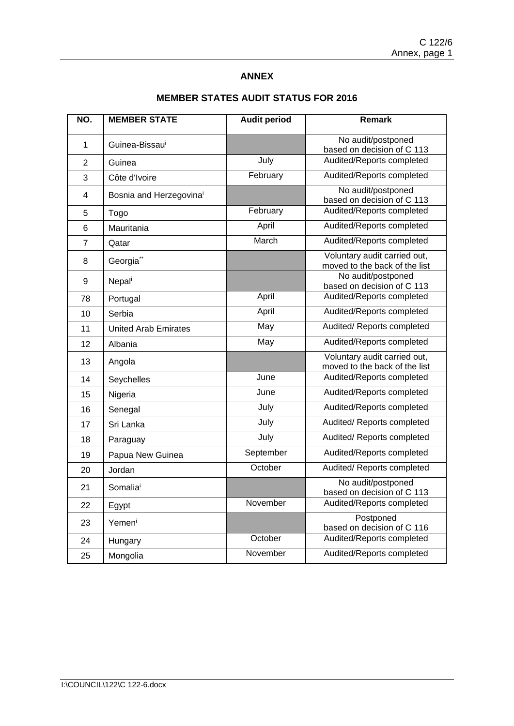### **ANNEX**

| NO.            | <b>MEMBER STATE</b>         | <b>Audit period</b> | Remark                                                        |
|----------------|-----------------------------|---------------------|---------------------------------------------------------------|
| 1              | Guinea-Bissau <sup>i</sup>  |                     | No audit/postponed                                            |
|                |                             |                     | based on decision of C 113                                    |
| $\overline{2}$ | Guinea                      | July                | Audited/Reports completed                                     |
| 3              | Côte d'Ivoire               | February            | Audited/Reports completed                                     |
| 4              | Bosnia and Herzegovinai     |                     | No audit/postponed<br>based on decision of C 113              |
| 5              | Togo                        | February            | Audited/Reports completed                                     |
| 6              | Mauritania                  | April               | Audited/Reports completed                                     |
| $\overline{7}$ | Qatar                       | March               | Audited/Reports completed                                     |
| 8              | Georgia <sup>**</sup>       |                     | Voluntary audit carried out,<br>moved to the back of the list |
| 9              | Nepali                      |                     | No audit/postponed<br>based on decision of C 113              |
| 78             | Portugal                    | April               | Audited/Reports completed                                     |
| 10             | Serbia                      | April               | Audited/Reports completed                                     |
| 11             | <b>United Arab Emirates</b> | May                 | Audited/ Reports completed                                    |
| 12             | Albania                     | May                 | Audited/Reports completed                                     |
| 13             | Angola                      |                     | Voluntary audit carried out,<br>moved to the back of the list |
| 14             | Seychelles                  | June                | Audited/Reports completed                                     |
| 15             | Nigeria                     | June                | Audited/Reports completed                                     |
| 16             | Senegal                     | July                | Audited/Reports completed                                     |
| 17             | Sri Lanka                   | July                | Audited/ Reports completed                                    |
| 18             | Paraguay                    | July                | Audited/ Reports completed                                    |
| 19             | Papua New Guinea            | September           | Audited/Reports completed                                     |
| 20             | Jordan                      | October             | Audited/ Reports completed                                    |
| 21             | Somaliai                    |                     | No audit/postponed<br>based on decision of C 113              |
| 22             | Egypt                       | November            | Audited/Reports completed                                     |
| 23             | Yemeni                      |                     | Postponed<br>based on decision of C 116                       |
| 24             | Hungary                     | October             | Audited/Reports completed                                     |
| 25             | Mongolia                    | November            | Audited/Reports completed                                     |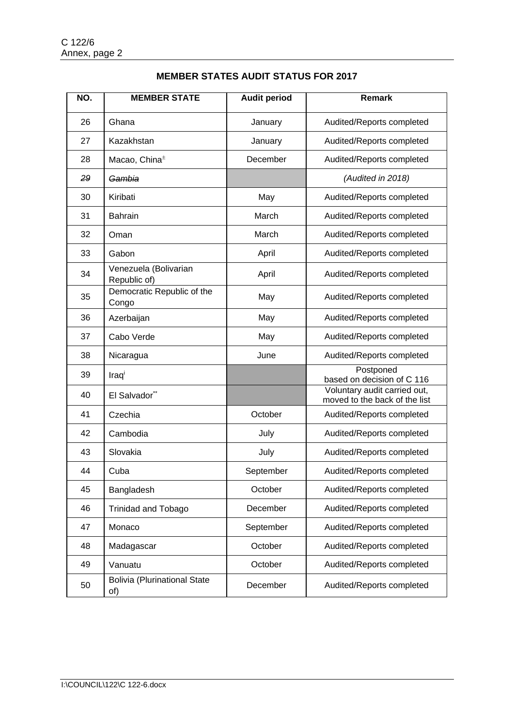| NO. | <b>MEMBER STATE</b>                        | <b>Audit period</b> | <b>Remark</b>                                                 |
|-----|--------------------------------------------|---------------------|---------------------------------------------------------------|
| 26  | Ghana                                      | January             | Audited/Reports completed                                     |
| 27  | Kazakhstan                                 | January             | Audited/Reports completed                                     |
| 28  | Macao, China <sup>±</sup>                  | December            | Audited/Reports completed                                     |
| 29  | Gambia                                     |                     | (Audited in 2018)                                             |
| 30  | Kiribati                                   | May                 | Audited/Reports completed                                     |
| 31  | <b>Bahrain</b>                             | March               | Audited/Reports completed                                     |
| 32  | Oman                                       | March               | Audited/Reports completed                                     |
| 33  | Gabon                                      | April               | Audited/Reports completed                                     |
| 34  | Venezuela (Bolivarian<br>Republic of)      | April               | Audited/Reports completed                                     |
| 35  | Democratic Republic of the<br>Congo        | May                 | Audited/Reports completed                                     |
| 36  | Azerbaijan                                 | May                 | Audited/Reports completed                                     |
| 37  | Cabo Verde                                 | May                 | Audited/Reports completed                                     |
| 38  | Nicaragua                                  | June                | Audited/Reports completed                                     |
| 39  | Iraqi                                      |                     | Postponed<br>based on decision of C 116                       |
| 40  | El Salvador**                              |                     | Voluntary audit carried out,<br>moved to the back of the list |
| 41  | Czechia                                    | October             | Audited/Reports completed                                     |
| 42  | Cambodia                                   | July                | Audited/Reports completed                                     |
| 43  | Slovakia                                   | July                | Audited/Reports completed                                     |
| 44  | Cuba                                       | September           | Audited/Reports completed                                     |
| 45  | Bangladesh                                 | October             | Audited/Reports completed                                     |
| 46  | <b>Trinidad and Tobago</b>                 | December            | Audited/Reports completed                                     |
| 47  | Monaco                                     | September           | Audited/Reports completed                                     |
| 48  | Madagascar                                 | October             | Audited/Reports completed                                     |
| 49  | Vanuatu                                    | October             | Audited/Reports completed                                     |
| 50  | <b>Bolivia (Plurinational State</b><br>of) | December            | Audited/Reports completed                                     |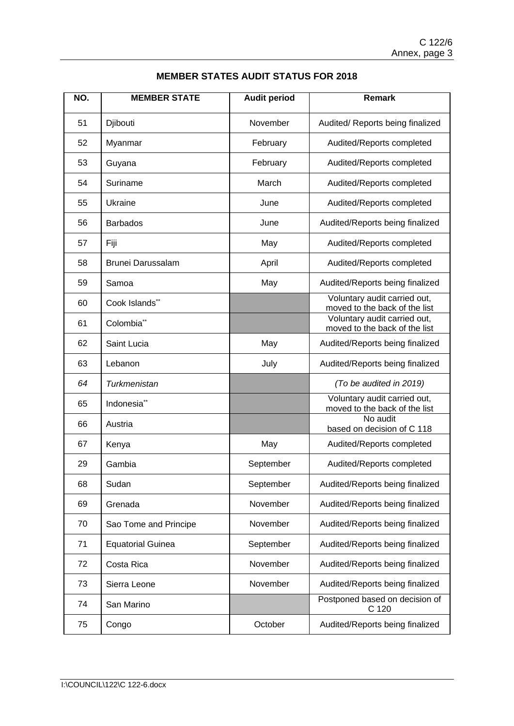| NO. | <b>MEMBER STATE</b>      | <b>Audit period</b> | <b>Remark</b>                                                 |
|-----|--------------------------|---------------------|---------------------------------------------------------------|
| 51  | Djibouti                 | November            | Audited/ Reports being finalized                              |
| 52  | Myanmar                  | February            | Audited/Reports completed                                     |
| 53  | Guyana                   | February            | Audited/Reports completed                                     |
| 54  | Suriname                 | March               | Audited/Reports completed                                     |
| 55  | Ukraine                  | June                | Audited/Reports completed                                     |
| 56  | <b>Barbados</b>          | June                | Audited/Reports being finalized                               |
| 57  | Fiji                     | May                 | Audited/Reports completed                                     |
| 58  | <b>Brunei Darussalam</b> | April               | Audited/Reports completed                                     |
| 59  | Samoa                    | May                 | Audited/Reports being finalized                               |
| 60  | Cook Islands**           |                     | Voluntary audit carried out,<br>moved to the back of the list |
| 61  | Colombia <sup>**</sup>   |                     | Voluntary audit carried out,<br>moved to the back of the list |
| 62  | Saint Lucia              | May                 | Audited/Reports being finalized                               |
| 63  | Lebanon                  | July                | Audited/Reports being finalized                               |
| 64  | Turkmenistan             |                     | (To be audited in 2019)                                       |
| 65  | Indonesia <sup>**</sup>  |                     | Voluntary audit carried out,<br>moved to the back of the list |
| 66  | Austria                  |                     | No audit<br>based on decision of C 118                        |
| 67  | Kenya                    | May                 | Audited/Reports completed                                     |
| 29  | Gambia                   | September           | Audited/Reports completed                                     |
| 68  | Sudan                    | September           | Audited/Reports being finalized                               |
| 69  | Grenada                  | November            | Audited/Reports being finalized                               |
| 70  | Sao Tome and Principe    | November            | Audited/Reports being finalized                               |
| 71  | <b>Equatorial Guinea</b> | September           | Audited/Reports being finalized                               |
| 72  | Costa Rica               | November            | Audited/Reports being finalized                               |
| 73  | Sierra Leone             | November            | Audited/Reports being finalized                               |
| 74  | San Marino               |                     | Postponed based on decision of<br>C 120                       |
| 75  | Congo                    | October             | Audited/Reports being finalized                               |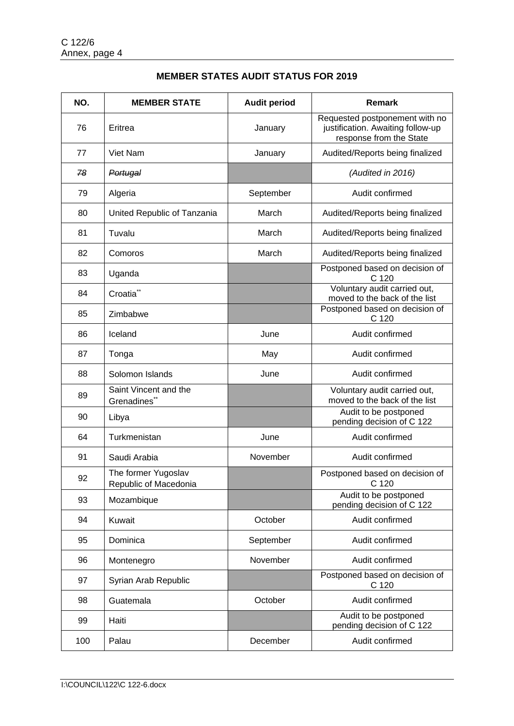| NO. | <b>MEMBER STATE</b>                          | <b>Audit period</b> | <b>Remark</b>                                                                                  |
|-----|----------------------------------------------|---------------------|------------------------------------------------------------------------------------------------|
| 76  | Eritrea                                      | January             | Requested postponement with no<br>justification. Awaiting follow-up<br>response from the State |
| 77  | Viet Nam                                     | January             | Audited/Reports being finalized                                                                |
| -78 | Portugal                                     |                     | (Audited in 2016)                                                                              |
| 79  | Algeria                                      | September           | Audit confirmed                                                                                |
| 80  | United Republic of Tanzania                  | March               | Audited/Reports being finalized                                                                |
| 81  | Tuvalu                                       | March               | Audited/Reports being finalized                                                                |
| 82  | Comoros                                      | March               | Audited/Reports being finalized                                                                |
| 83  | Uganda                                       |                     | Postponed based on decision of<br>C 120                                                        |
| 84  | Croatia <sup>**</sup>                        |                     | Voluntary audit carried out,<br>moved to the back of the list                                  |
| 85  | Zimbabwe                                     |                     | Postponed based on decision of<br>C 120                                                        |
| 86  | Iceland                                      | June                | Audit confirmed                                                                                |
| 87  | Tonga                                        | May                 | Audit confirmed                                                                                |
| 88  | Solomon Islands                              | June                | Audit confirmed                                                                                |
| 89  | Saint Vincent and the<br>Grenadines**        |                     | Voluntary audit carried out,<br>moved to the back of the list                                  |
| 90  | Libya                                        |                     | Audit to be postponed<br>pending decision of C 122                                             |
| 64  | Turkmenistan                                 | June                | Audit confirmed                                                                                |
| 91  | Saudi Arabia                                 | November            | Audit confirmed                                                                                |
| 92  | The former Yugoslav<br>Republic of Macedonia |                     | Postponed based on decision of<br>C 120                                                        |
| 93  | Mozambique                                   |                     | Audit to be postponed<br>pending decision of C 122                                             |
| 94  | Kuwait                                       | October             | Audit confirmed                                                                                |
| 95  | Dominica                                     | September           | Audit confirmed                                                                                |
| 96  | Montenegro                                   | November            | Audit confirmed                                                                                |
| 97  | Syrian Arab Republic                         |                     | Postponed based on decision of<br>C 120                                                        |
| 98  | Guatemala                                    | October             | Audit confirmed                                                                                |
| 99  | Haiti                                        |                     | Audit to be postponed<br>pending decision of C 122                                             |
| 100 | Palau                                        | December            | Audit confirmed                                                                                |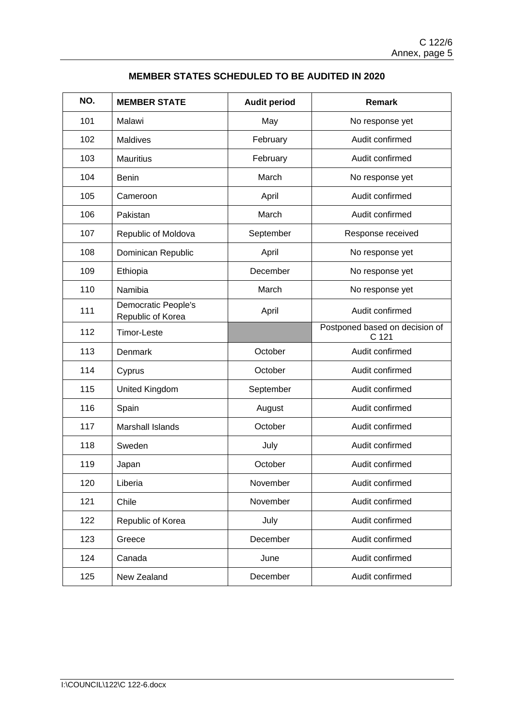| NO. | <b>MEMBER STATE</b>                      | <b>Audit period</b> | <b>Remark</b>                           |
|-----|------------------------------------------|---------------------|-----------------------------------------|
| 101 | Malawi                                   | May                 | No response yet                         |
| 102 | <b>Maldives</b>                          | February            | Audit confirmed                         |
| 103 | <b>Mauritius</b>                         | February            | Audit confirmed                         |
| 104 | <b>Benin</b>                             | March               | No response yet                         |
| 105 | Cameroon                                 | April               | Audit confirmed                         |
| 106 | Pakistan                                 | March               | Audit confirmed                         |
| 107 | Republic of Moldova                      | September           | Response received                       |
| 108 | Dominican Republic                       | April               | No response yet                         |
| 109 | Ethiopia                                 | December            | No response yet                         |
| 110 | Namibia                                  | March               | No response yet                         |
| 111 | Democratic People's<br>Republic of Korea | April               | Audit confirmed                         |
| 112 | <b>Timor-Leste</b>                       |                     | Postponed based on decision of<br>C 121 |
| 113 | Denmark                                  | October             | Audit confirmed                         |
| 114 | Cyprus                                   | October             | Audit confirmed                         |
| 115 | <b>United Kingdom</b>                    | September           | Audit confirmed                         |
| 116 | Spain                                    | August              | Audit confirmed                         |
| 117 | <b>Marshall Islands</b>                  | October             | Audit confirmed                         |
| 118 | Sweden                                   | July                | Audit confirmed                         |
| 119 | Japan                                    | October             | Audit confirmed                         |
| 120 | Liberia                                  | November            | Audit confirmed                         |
| 121 | Chile                                    | November            | Audit confirmed                         |
| 122 | Republic of Korea                        | July                | Audit confirmed                         |
| 123 | Greece                                   | December            | Audit confirmed                         |
| 124 | Canada                                   | June                | Audit confirmed                         |
| 125 | New Zealand                              | December            | Audit confirmed                         |

# **MEMBER STATES SCHEDULED TO BE AUDITED IN 2020**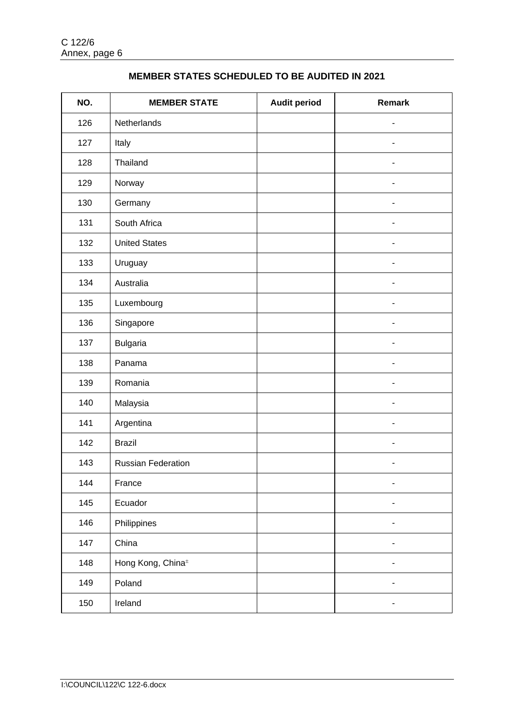| NO. | <b>MEMBER STATE</b>           | <b>Audit period</b> | <b>Remark</b>                |
|-----|-------------------------------|---------------------|------------------------------|
| 126 | Netherlands                   |                     |                              |
| 127 | Italy                         |                     |                              |
| 128 | Thailand                      |                     |                              |
| 129 | Norway                        |                     |                              |
| 130 | Germany                       |                     |                              |
| 131 | South Africa                  |                     |                              |
| 132 | <b>United States</b>          |                     |                              |
| 133 | Uruguay                       |                     |                              |
| 134 | Australia                     |                     |                              |
| 135 | Luxembourg                    |                     |                              |
| 136 | Singapore                     |                     |                              |
| 137 | <b>Bulgaria</b>               |                     | $\blacksquare$               |
| 138 | Panama                        |                     | $\overline{\phantom{0}}$     |
| 139 | Romania                       |                     | $\overline{\phantom{a}}$     |
| 140 | Malaysia                      |                     | $\overline{\phantom{0}}$     |
| 141 | Argentina                     |                     | $\blacksquare$               |
| 142 | <b>Brazil</b>                 |                     | $\overline{\phantom{0}}$     |
| 143 | <b>Russian Federation</b>     |                     | $\qquad \qquad \blacksquare$ |
| 144 | France                        |                     | -                            |
| 145 | Ecuador                       |                     |                              |
| 146 | Philippines                   |                     | ۰                            |
| 147 | China                         |                     |                              |
| 148 | Hong Kong, China <sup>±</sup> |                     |                              |
| 149 | Poland                        |                     |                              |
| 150 | Ireland                       |                     |                              |

# **MEMBER STATES SCHEDULED TO BE AUDITED IN 2021**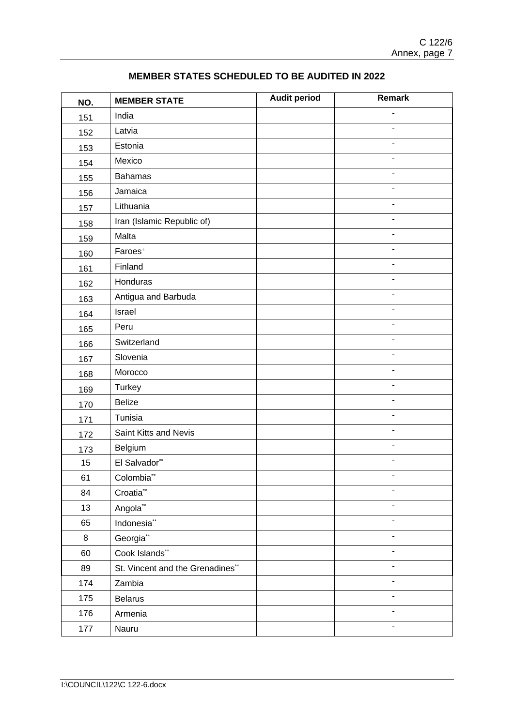| NO. | <b>MEMBER STATE</b>                            | <b>Audit period</b> | Remark                   |
|-----|------------------------------------------------|---------------------|--------------------------|
| 151 | India                                          |                     |                          |
| 152 | Latvia                                         |                     |                          |
| 153 | Estonia                                        |                     |                          |
| 154 | Mexico                                         |                     |                          |
| 155 | <b>Bahamas</b>                                 |                     |                          |
| 156 | Jamaica                                        |                     |                          |
| 157 | Lithuania                                      |                     |                          |
| 158 | Iran (Islamic Republic of)                     |                     |                          |
| 159 | Malta                                          |                     | ä,                       |
| 160 | $\mathsf{F}$ aroes <sup><math>\pm</math></sup> |                     |                          |
| 161 | Finland                                        |                     | $\blacksquare$           |
| 162 | Honduras                                       |                     | $\blacksquare$           |
| 163 | Antigua and Barbuda                            |                     | $\blacksquare$           |
| 164 | Israel                                         |                     |                          |
| 165 | Peru                                           |                     |                          |
| 166 | Switzerland                                    |                     | $\overline{\phantom{a}}$ |
| 167 | Slovenia                                       |                     |                          |
| 168 | Morocco                                        |                     | ä,                       |
| 169 | Turkey                                         |                     |                          |
| 170 | <b>Belize</b>                                  |                     |                          |
| 171 | Tunisia                                        |                     | $\blacksquare$           |
| 172 | Saint Kitts and Nevis                          |                     | $\blacksquare$           |
| 173 | Belgium                                        |                     | $\blacksquare$           |
| 15  | El Salvador**                                  |                     | $\blacksquare$           |
| 61  | Colombia**                                     |                     |                          |
| 84  | Croatia**                                      |                     | $\overline{\phantom{m}}$ |
| 13  | Angola**                                       |                     |                          |
| 65  | Indonesia <sup>**</sup>                        |                     |                          |
| 8   | Georgia <sup>**</sup>                          |                     |                          |
| 60  | Cook Islands**                                 |                     |                          |
| 89  | St. Vincent and the Grenadines**               |                     |                          |
| 174 | Zambia                                         |                     |                          |
| 175 | Belarus                                        |                     |                          |
| 176 | Armenia                                        |                     |                          |
| 177 | Nauru                                          |                     |                          |

# **MEMBER STATES SCHEDULED TO BE AUDITED IN 2022**